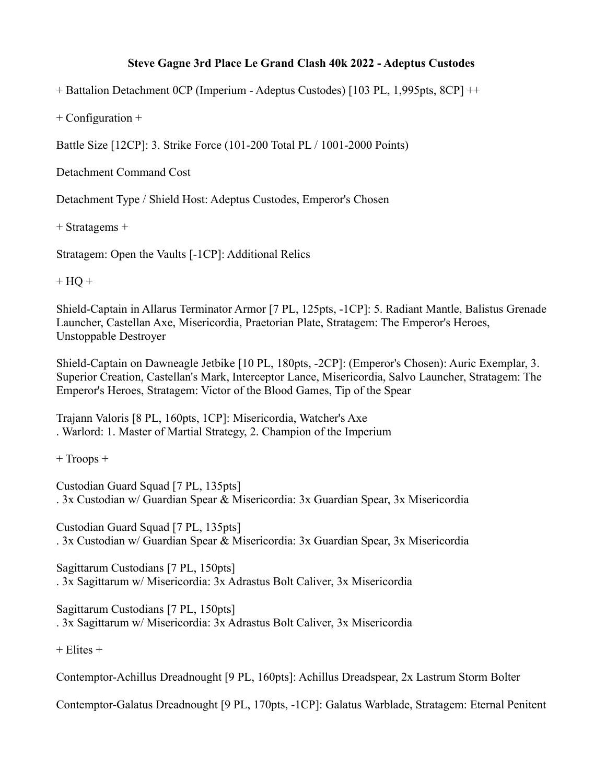## **Steve Gagne 3rd Place Le Grand Clash 40k 2022 - Adeptus Custodes**

+ Battalion Detachment 0CP (Imperium - Adeptus Custodes) [103 PL, 1,995pts, 8CP] ++

+ Configuration +

Battle Size [12CP]: 3. Strike Force (101-200 Total PL / 1001-2000 Points)

Detachment Command Cost

Detachment Type / Shield Host: Adeptus Custodes, Emperor's Chosen

+ Stratagems +

Stratagem: Open the Vaults [-1CP]: Additional Relics

 $+ HO +$ 

Shield-Captain in Allarus Terminator Armor [7 PL, 125pts, -1CP]: 5. Radiant Mantle, Balistus Grenade Launcher, Castellan Axe, Misericordia, Praetorian Plate, Stratagem: The Emperor's Heroes, Unstoppable Destroyer

Shield-Captain on Dawneagle Jetbike [10 PL, 180pts, -2CP]: (Emperor's Chosen): Auric Exemplar, 3. Superior Creation, Castellan's Mark, Interceptor Lance, Misericordia, Salvo Launcher, Stratagem: The Emperor's Heroes, Stratagem: Victor of the Blood Games, Tip of the Spear

Trajann Valoris [8 PL, 160pts, 1CP]: Misericordia, Watcher's Axe . Warlord: 1. Master of Martial Strategy, 2. Champion of the Imperium

+ Troops +

Custodian Guard Squad [7 PL, 135pts] . 3x Custodian w/ Guardian Spear & Misericordia: 3x Guardian Spear, 3x Misericordia

Custodian Guard Squad [7 PL, 135pts] . 3x Custodian w/ Guardian Spear & Misericordia: 3x Guardian Spear, 3x Misericordia

Sagittarum Custodians [7 PL, 150pts] . 3x Sagittarum w/ Misericordia: 3x Adrastus Bolt Caliver, 3x Misericordia

Sagittarum Custodians [7 PL, 150pts] . 3x Sagittarum w/ Misericordia: 3x Adrastus Bolt Caliver, 3x Misericordia

 $+$  Elites  $+$ 

Contemptor-Achillus Dreadnought [9 PL, 160pts]: Achillus Dreadspear, 2x Lastrum Storm Bolter

Contemptor-Galatus Dreadnought [9 PL, 170pts, -1CP]: Galatus Warblade, Stratagem: Eternal Penitent